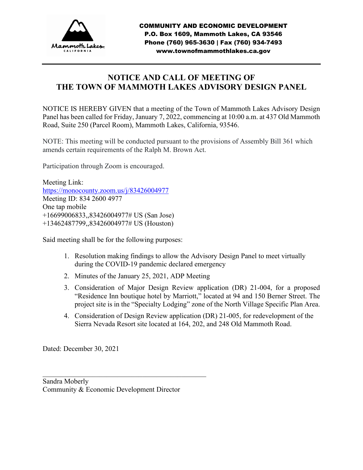

# **NOTICE AND CALL OF MEETING OF THE TOWN OF MAMMOTH LAKES ADVISORY DESIGN PANEL**

NOTICE IS HEREBY GIVEN that a meeting of the Town of Mammoth Lakes Advisory Design Panel has been called for Friday, January 7, 2022, commencing at 10:00 a.m. at 437 Old Mammoth Road, Suite 250 (Parcel Room), Mammoth Lakes, California, 93546.

NOTE: This meeting will be conducted pursuant to the provisions of Assembly Bill 361 which amends certain requirements of the Ralph M. Brown Act.

Participation through Zoom is encouraged.

Meeting Link: <https://monocounty.zoom.us/j/83426004977> Meeting ID: 834 2600 4977 One tap mobile +16699006833,,83426004977# US (San Jose) +13462487799,,83426004977# US (Houston)

Said meeting shall be for the following purposes:

- 1. Resolution making findings to allow the Advisory Design Panel to meet virtually during the COVID-19 pandemic declared emergency
- 2. Minutes of the January 25, 2021, ADP Meeting
- 3. Consideration of Major Design Review application (DR) 21-004, for a proposed "Residence Inn boutique hotel by Marriott," located at 94 and 150 Berner Street. The project site is in the "Specialty Lodging" zone of the North Village Specific Plan Area.
- 4. Consideration of Design Review application (DR) 21-005, for redevelopment of the Sierra Nevada Resort site located at 164, 202, and 248 Old Mammoth Road.

Dated: December 30, 2021

Sandra Moberly Community & Economic Development Director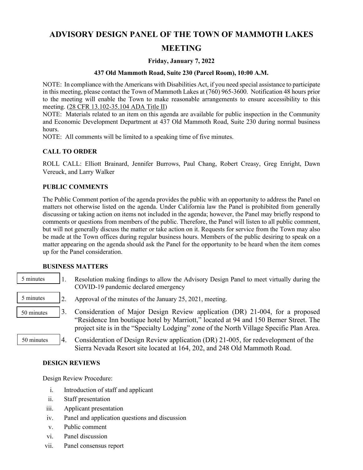# **ADVISORY DESIGN PANEL OF THE TOWN OF MAMMOTH LAKES MEETING**

### **Friday, January 7, 2022**

#### **437 Old Mammoth Road, Suite 230 (Parcel Room), 10:00 A.M.**

NOTE: In compliance with the Americans with Disabilities Act, if you need special assistance to participate in this meeting, please contact the Town of Mammoth Lakes at (760) 965-3600. Notification 48 hours prior to the meeting will enable the Town to make reasonable arrangements to ensure accessibility to this meeting. (28 CFR 13.102-35.104 ADA Title II)

NOTE: Materials related to an item on this agenda are available for public inspection in the Community and Economic Development Department at 437 Old Mammoth Road, Suite 230 during normal business hours.

NOTE: All comments will be limited to a speaking time of five minutes.

### **CALL TO ORDER**

ROLL CALL: Elliott Brainard, Jennifer Burrows, Paul Chang, Robert Creasy, Greg Enright, Dawn Vereuck, and Larry Walker

#### **PUBLIC COMMENTS**

The Public Comment portion of the agenda provides the public with an opportunity to address the Panel on matters not otherwise listed on the agenda. Under California law the Panel is prohibited from generally discussing or taking action on items not included in the agenda; however, the Panel may briefly respond to comments or questions from members of the public. Therefore, the Panel will listen to all public comment, but will not generally discuss the matter or take action on it. Requests for service from the Town may also be made at the Town offices during regular business hours. Members of the public desiring to speak on a matter appearing on the agenda should ask the Panel for the opportunity to be heard when the item comes up for the Panel consideration.

#### **BUSINESS MATTERS**

| 5 minutes  |    | Resolution making findings to allow the Advisory Design Panel to meet virtually during the<br>COVID-19 pandemic declared emergency                                                                                                                               |
|------------|----|------------------------------------------------------------------------------------------------------------------------------------------------------------------------------------------------------------------------------------------------------------------|
| 5 minutes  |    | Approval of the minutes of the January 25, 2021, meeting.                                                                                                                                                                                                        |
| 50 minutes | 3. | Consideration of Major Design Review application (DR) 21-004, for a proposed<br>"Residence Inn boutique hotel by Marriott," located at 94 and 150 Berner Street. The<br>project site is in the "Specialty Lodging" zone of the North Village Specific Plan Area. |
| 50 minutes | 4. | Consideration of Design Review application (DR) 21-005, for redevelopment of the<br>Sierra Nevada Resort site located at 164, 202, and 248 Old Mammoth Road.                                                                                                     |

#### **DESIGN REVIEWS**

Design Review Procedure:

- i. Introduction of staff and applicant
- ii. Staff presentation
- iii. Applicant presentation
- iv. Panel and application questions and discussion
- v. Public comment
- vi. Panel discussion
- vii. Panel consensus report